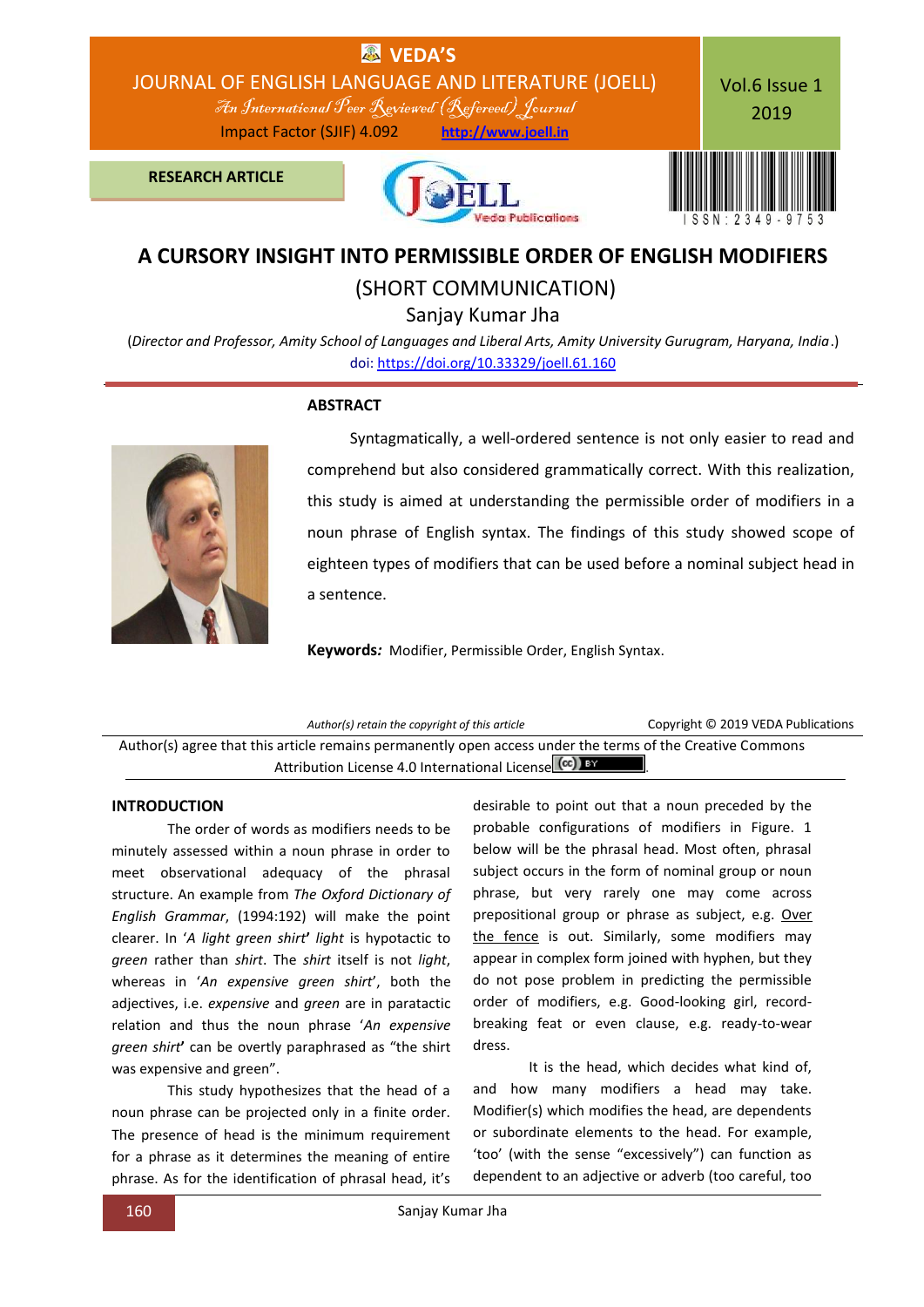

## **A CURSORY INSIGHT INTO PERMISSIBLE ORDER OF ENGLISH MODIFIERS**

(SHORT COMMUNICATION)

Sanjay Kumar Jha

(*Director and Professor, Amity School of Languages and Liberal Arts, Amity University Gurugram, Haryana, India*.) doi[: https://doi.org/10.33329/joell.61.160](http://joell.in/vol-6-issue-1-2019/)



#### **ABSTRACT**

 Syntagmatically, a well-ordered sentence is not only easier to read and comprehend but also considered grammatically correct. With this realization, this study is aimed at understanding the permissible order of modifiers in a noun phrase of English syntax. The findings of this study showed scope of eighteen types of modifiers that can be used before a nominal subject head in a sentence.

**Keywords***:* Modifier, Permissible Order, English Syntax.

*Author(s) retain the copyright of this article* Copyright © 2019 VEDA Publications Author(s) agree that this article remains permanently open access under the terms of the Creative Commons Attribution License 4.0 International License (cc) BY

### **INTRODUCTION**

The order of words as modifiers needs to be minutely assessed within a noun phrase in order to meet observational adequacy of the phrasal structure. An example from *The Oxford Dictionary of English Grammar*, (1994:192) will make the point clearer. In '*A light green shirt***'** *light* is hypotactic to *green* rather than *shirt*. The *shirt* itself is not *light*, whereas in '*An expensive green shirt*', both the adjectives, i.e. *expensive* and *green* are in paratactic relation and thus the noun phrase '*An expensive green shirt***'** can be overtly paraphrased as "the shirt was expensive and green".

This study hypothesizes that the head of a noun phrase can be projected only in a finite order. The presence of head is the minimum requirement for a phrase as it determines the meaning of entire phrase. As for the identification of phrasal head, it's

desirable to point out that a noun preceded by the probable configurations of modifiers in Figure. 1 below will be the phrasal head. Most often, phrasal subject occurs in the form of nominal group or noun phrase, but very rarely one may come across prepositional group or phrase as subject, e.g. Over the fence is out. Similarly, some modifiers may appear in complex form joined with hyphen, but they do not pose problem in predicting the permissible order of modifiers, e.g. Good-looking girl, recordbreaking feat or even clause, e.g. ready-to-wear dress.

It is the head, which decides what kind of, and how many modifiers a head may take. Modifier(s) which modifies the head, are dependents or subordinate elements to the head. For example, 'too' (with the sense "excessively") can function as dependent to an adjective or adverb (too careful, too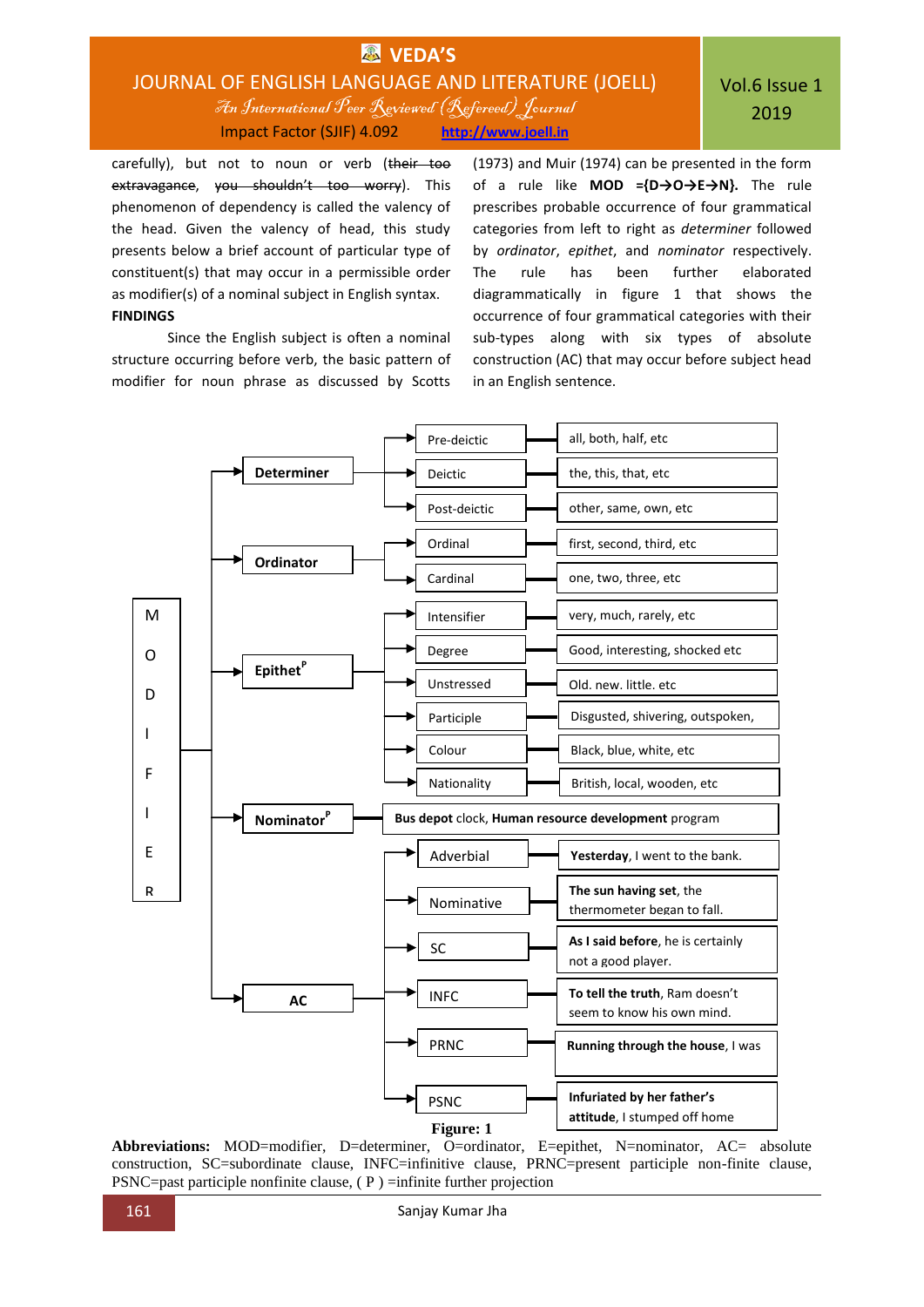# **VEDA'S** JOURNAL OF ENGLISH LANGUAGE AND LITERATURE (JOELL) An International Peer Reviewed (Refereed)Journal Impact Factor (SJIF) 4.092 **http://www.joell.in**

carefully), but not to noun or verb (their too extravagance, you shouldn't too worry). This phenomenon of dependency is called the valency of the head. Given the valency of head, this study presents below a brief account of particular type of constituent(s) that may occur in a permissible order as modifier(s) of a nominal subject in English syntax. **FINDINGS**

Since the English subject is often a nominal structure occurring before verb, the basic pattern of modifier for noun phrase as discussed by Scotts

(1973) and Muir (1974) can be presented in the form of a rule like **MOD ={D→O→E→N}.** The rule prescribes probable occurrence of four grammatical categories from left to right as *determiner* followed by *ordinator*, *epithet*, and *nominator* respectively. The rule has been further elaborated diagrammatically in figure 1 that shows the occurrence of four grammatical categories with their sub-types along with six types of absolute construction (AC) that may occur before subject head in an English sentence.



**Abbreviations:** MOD=modifier, D=determiner, O=ordinator, E=epithet, N=nominator, AC= absolute construction, SC=subordinate clause, INFC=infinitive clause, PRNC=present participle non-finite clause, PSNC=past participle nonfinite clause, ( P ) =infinite further projection